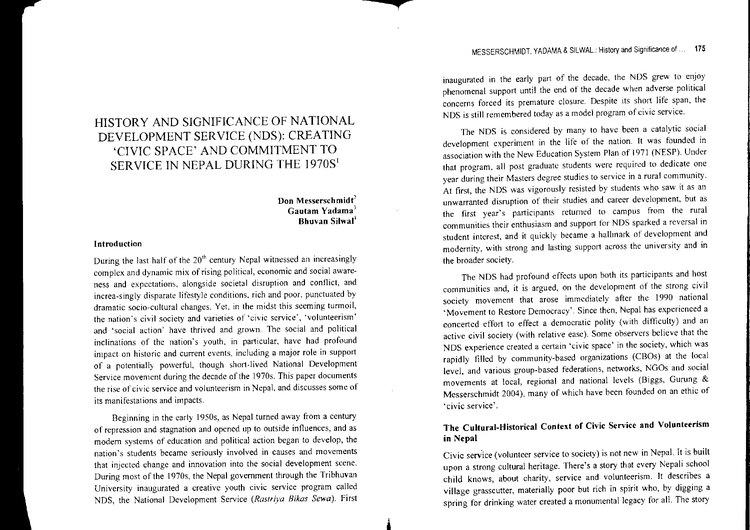# HISTORY AND SIGNIFICANCE OF NATIONAL DEVELOPMENT SERVICE (NDS): CREATING 'CIVIC SPACE' AND COMMITMENT TO SERVICE IN NEPAL DURING THE 1970 $\mathrm{S}^{1}$

## $\Omega$ on Messerschmidt $^2$ Gautam Yadama $^3$ Bhuvan Silwal'

# Introduction

During the last half of the  $20<sup>th</sup>$  century Nepal witnessed an increasingly complex and dynamic mix ofrising political, economic and social awareness and expectations, alongside societal disruption and conflict, and increa-singly disparate lifestyle conditions, rich and poor, punctuated by dramatic socio-cultural changes. Yet, in the midst this seeming turmoil the nation's civil society and varieties of 'civic service', 'volunteerism' and 'social action' have thrived and grown. The social and political inclinations of the nation's youth, in particular, have had profound impact on historic and current events, including <sup>a</sup> major role in suppor<sup>t</sup> of a potentially powerful, though short-lived National Development Service movement during the decade of the 1970s. This paper documents the rise of civic service and volunteerism in Nepal, and discusses some of its manifestations and impacts.

Beginning in the early 1950s, as Nepal turned away from <sup>a</sup> century of repression and stagnation and opened up to outside influences, and as modern systems of education and political action began to develop, the nation's students became seriously involved in causes and movement that injected change and innovation into the social development scene. During most of the 1970s, the Nepal government through the Tribhuvan University inaugurated <sup>a</sup> creative youth civic service program called NOS, the National Development Service *(Rastriya Bikas Sewa).* First inaugurated in the early par<sup>t</sup> of the decade, the NOS grew to enjoy phenomenal suppor<sup>t</sup> until the end of the decade when adverse political concerns forced its premature closure. Despite its short life span, the NDS is still remembered today as <sup>a</sup> model program of civic service.

The NDS is considered by many to have been a catalytic social development experiment in the life of the nation. It was founded in association with the New Education System Plan of 1971 (NESP). Under that program, all pos<sup>t</sup> graduate students were required to dedicate one year during their Masters degree studies to service in <sup>a</sup> rural community. At first, the NDS was vigorously resisted by students who saw it as an unwarranted disruption of their studies and career development, but as the first year's participants returned to campus from the rule communities their enthusiasm and suppor<sup>t</sup> for NOS sparked <sup>a</sup> reversal in student interest, and it quickly became <sup>a</sup> hallmark of development and modernity, with strong and lasting suppor<sup>t</sup> across the university and in the broader society.

The NDS had profound effects upon both its participants and host communities and, it is argued, on the development of the strong civil society movement that arose immediately after the 1990 national 'Movement to Restore Democracy'. Since then, Nepal has experienced <sup>a</sup> concerted effort to effect a democratic polity (with difficulty) and an active civil society (with relative ease). Some observers believe that the NDS experience created a certain civic space. In the society, which was rapidly tilled by community-based organizations (CBOs) at the local level, and various group-based federations, networks, NOOs and social movements at local, regional and national levels (Biggs, Ourung & Messerschmidt 2004), many of which have been founded on an ethic of 'civic service'.

## The Cultural-Historical Context of Civic Service and Volunteerismin Nepa

Civic service (volunteer service to society) is not new in Nepal. It is built upon <sup>a</sup> strong cultural heritage. There's <sup>a</sup> story that every Nepali school child knows, about charity, service and volumeerism. It describes village grasscutter, materially poor but rich in spirit who, by digging <sup>a</sup> spring for drinking water created <sup>a</sup> monumental legacy for all. The story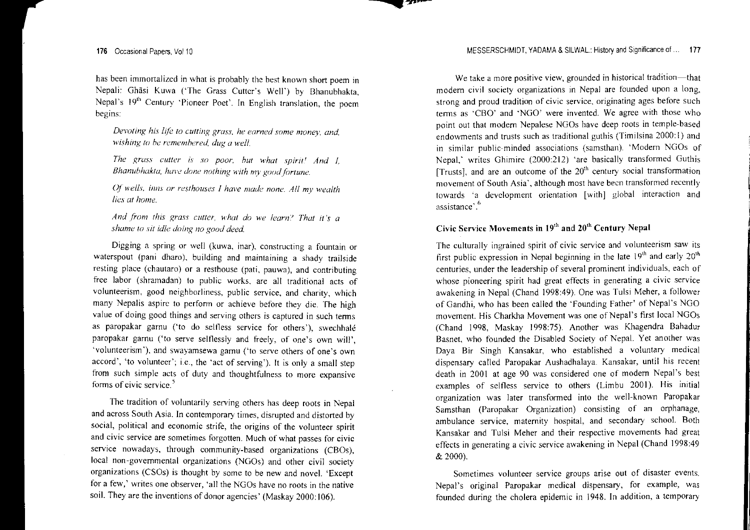has been immortalized in what is probably the best known short poem in Nepali: Ghãsi Kuwa ('The Grass Cutter's Well') by Bhanubhakta, Nepal's 19<sup>th</sup> Century 'Pioneer Poet'. In English translation, the poem begins:

*Devoting his life to cutting grass, he earned some money, and. 'fvishing to he rememhered dug <sup>a</sup> well.*

*7he [VUSS cutter is so poor. hut what spirit,! And I. Bhanubhakta. have done nothing H,ith m.v goodfortune.*

*Of wells. inns or resthouses I have made nune. All my wealth lies at home.*

*And from this grass cutler, what do we learn? That it's <sup>a</sup> shame to sit idle doing no good deed.*

Digging <sup>a</sup> spring or well (kuwa, inar), constructing <sup>a</sup> fountain or waterspout (pani dharo), building and maintaining <sup>a</sup> shady trailside resting place (chautaro) or <sup>a</sup> resthouse (pati, pauwa), and contributing free labor (shramadan) to public works, are all traditional acts of volunteerism, good ncighborliness, public service, and charity, which many Nepalis aspire to perform or achieve before they die. The high value of doing good things and serving others is captured in such terms as paropakar garnu ('to do selfless service for others'), swechhale paropakar garnu ('to serve selflessly and freely, of one's own will', 'volunteerism'), and swayamsewa garnu ('to serve others of one's own accord', 'to volunteer'; i.e., the 'act of serving'). It is only <sup>a</sup> small step from such simple acts of duty and thoughtfulness to more expansive forms of civic service.<sup>5</sup>

The tradition of voluntarily serving others has deep roots in Nepal and across South Asia. In contemporary times, disrupted and distorted by social, political and economic strife, the origins of the volunteer spirit and civic service are sometimes forgotten. Much of what passes for civic service nowadays, through community-based organizations (CBOs), local non-governmental organizations (NGOs) and other civil society organizations (CSOs) is thought by some to be new and novel. 'Except for a few,' writes one observer, 'all the NGOs have no roots in the native soil. They are the inventions of donor agencies' (Maskay 2000: 106).

We take <sup>a</sup> more positive view, grounded in historical tradition-that modern civil society organizations in Nepal are founded upon <sup>a</sup> long, strong and proud tradition of civic service, originating ages before such tenns as 'CBO' and 'NGO' were invented. We agree with those who point out that modem Nepalese NGOs have deep roots in temple-based endowments and trusts such as traditional guthis (Timilsina 2000: I) and in similar public-minded associations (sarnsthan). 'Modern NGOs of Nepal,' writes Ghimire (2000:212) 'are basically transformed Guthis [Trusts], and are an outcome of the  $20<sup>th</sup>$  century social transformation movement of South Asia', although most have been transformed recently towards 'a development orientation [with] global interaction and assistance'."

# Civic Service Movements in  $19<sup>th</sup>$  and  $20<sup>th</sup>$  Century Nepal

The culturally ingrained spirit of civic service and volunteerism saw its first public expression in Nepal beginning in the late  $19^{\text{th}}$  and early  $20^{\text{th}}$ centuries, under the leadership of several prominent individuals, each of whose pioneering spirit had grea<sup>t</sup> effects in generating <sup>a</sup> civic service awakening in Nepal (Chand 1998:49). One was Tulsi Meher, <sup>a</sup> follower of Gandhi, who has been called the 'Founding Father' of Nepal's NGO movement. His Charkha Movement was one of Nepal's first local NGOs (Chand 1998, Maskay 1998:75). Another was Khagendra Bahadur Basnet, who founded the Disabled Society of Nepal. Yet another was Daya Bir Singh Kansakar, who established <sup>a</sup> voluntary medical dispensary called Paropakar Aushadhalaya. Kansakar, until his recent death in 2001 at age 90 was considered one of modem Nepal's best examples of selfless service to others (Limbu 2001). His initial organization was later transfonned into the well-known Paropakar Samsthan (Paropakar Organization) consisting of an orphanage, ambulance service, maternity hospital, and secondary school. Both Kansakar and Tulsi Meher and their respective movements had grea<sup>t</sup> effects in generating <sup>a</sup> civic service awakening in Nepal (Chand 1998:49  $& 2000$ 

Sometimes volunteer service groups arise out of disaster events. Nepal's original Paropakar medical dispensary, for example, was founded during the cholera epidemic in 1948. In addition, <sup>a</sup> temporary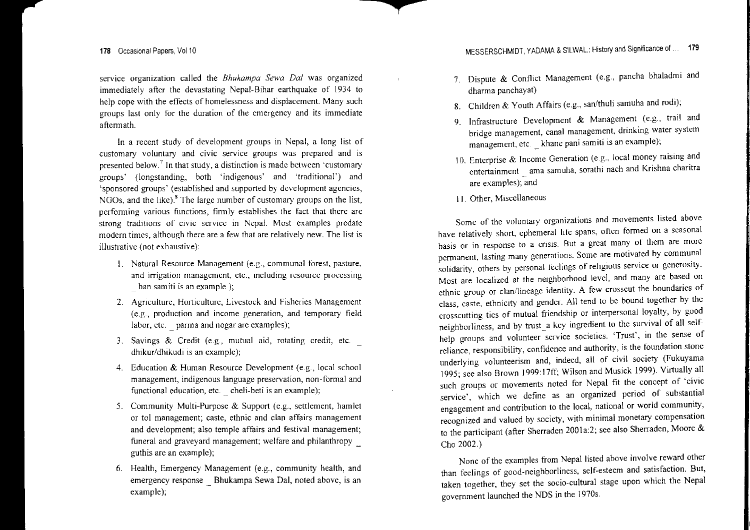**organization called the** *Bhukampa Sewa Dal* **was organized** immediately after the devastating Nepal-Bihar earthquake of 1934 to help cope with the effects of homelessness and displacement. Many such **groups last only for the duration of the emergency and its immediate** aftennath.

**In** <sup>a</sup> recent study of development groups in Nepal, <sup>a</sup> long list of *customary* **voluntary and civic service groups was prepared and is presented below.**<sup>7</sup> In that study, a distinction is made between 'customary' groups' (longstanding, both 'indigenous' and 'traditional') and 'sponsored groups' (established and supported by development agencies NGOs, and the like). $<sup>8</sup>$  The large number of customary groups on the list.</sup> *performing* various functions, firmly establishes the fact that there are **strong of civic service in Nepal. Most examples predate modern times, although there are <sup>a</sup> few that are relatively new. The list is** illustrative (not exhaustive):

- **I. Natural Resource Management (e.g., communal forest, pasture, and irrigation management, etc., including resource processing \_ ban samiti is an example );**
- **2. Agriculture, Horticulture, Livestock and Fisheries Management (e.g., production and income generation, and temporary field** labor, etc. \_ parma and nogar are examples);
- 3. Savings & Credit (e.g., mutual aid, rotating credit, etc. dhikur/dhikudi is an example);
- 4. Education & Human Resource Development (e.g., local school **management, indigenous language preservation, non -fonnal and functional education, etc. \_ cheli-beti is an example);**
- 5. Community Multi-Purpose & Support (e.g., settlement, hamlet **or tol management; caste, ethnic and clan affairs management** and development; also temple affairs and festival management; funeral and graveyard management; welfare and philanthropy euthis are an example);
- 6. Health, Emergency Management (e.g., community health, and emergency response \_ Bhukampa Sewa Dal, noted above, is an example);
- 7. Dispute & Conflict Management (e.g., pancha bhaladmi and dharma panchayat)
- 8. Children & Youth Affairs (e.g., san/thuli samuna and rodi)
- 9. Infrastructure Development & Management (e.g., trail and **bridge management, canal management, drinking water system management, etc. khane pani samiti is an example);**
- 10. Enterprise & Income Generation (e.g., local money raising and **entertainment ama samuha, sorathi nach and Krishna charitra** are examples); and
- 11. Other, Miscellaneous

**Some of the voluntary organizations and movements listed above** have relatively short, ephemeral life spans, often formed on a seasonal **basis or in response to <sup>a</sup> crisis. But <sup>a</sup> great many of them are more pennanent, lasting many generations. Some are motivated by communal solidarity, others by personal feelings of religious service or generosity.** Most are localized at the neighborhood level, and many are based on ethnic group or clan/lineage identity. A few crosscut the boundaries of class, caste, ethnicity and gender. All tend to be bound together by the crosscutting ties of mutual friendship or interpersonal loyalty, by good neighborliness, and by trust\_a key ingredient to the survival of all self**help groups and volunteer service societies. 'Trust', in the sense of reliance, responsibility, confidence and authority, is the foundation stone** underlying volunteerism and, indeed, all of civil society (Fukuyama 1995; see also Brown 1999: 17ff; Wilson and Musick 1999). Virtually all such groups or movements noted for Nepal fit the concep<sup>t</sup> of 'civic **service', which we define as an organized period of substantial** engagemen<sup>t</sup> and contribution to the local, national or world community, recognized and valued by society, with minimal monetary compensation to the participant (after Sherraden 200Ia:2; see also Sherraden, Moore & Cho 2002.)

None of the examples from Nepal listed above involve reward other than feelings of good-neighborliness, self-esteem and satisfaction, But, taken together, they set the socio-cultural stage upon which the Nepal governmen<sup>t</sup> launched the NDS in the J970s.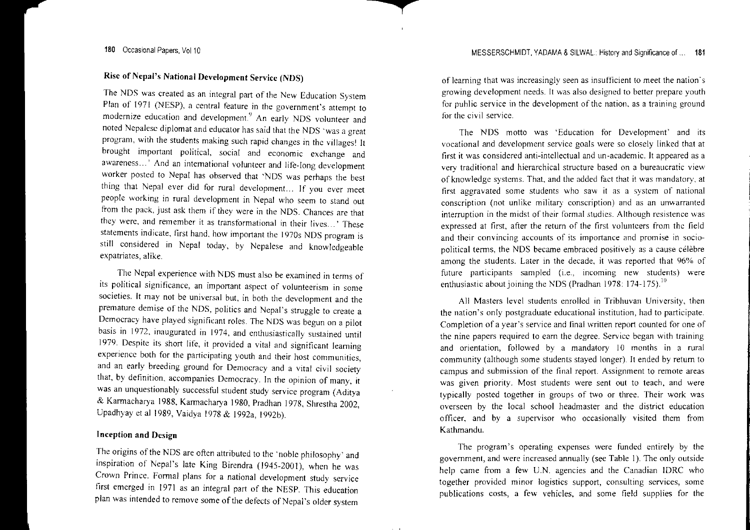## Rise of Nepal's National Development Service (NDS)

The NDS was created as an integral par<sup>t</sup> of the New Education System Plan of 1971 (NESP), <sup>a</sup> central feature in the government's attempt to modernize education and development.') An early NDS volunteer and noted Nepalese diplomat and educator has said that the NDS 'was <sup>a</sup> grea<sup>t</sup> program, with the students making such rapid changes in the villages! It brought important political, social and economic exchange and awareness... ' And an international volunteer and life-long development worker posted to Nepal has observed that 'NDS was perhaps the best thing that Nepal ever did for rural development.. If you ever meet people working in rural development in Nepal who seem to stand out from the pack, just ask them if they were in the NDS. Chances are that they were, and remember it as transformational in their lives... ' These statements indicate, first hand, how important the 19705 NDS program is still considered in Nepal today, by Nepalese and knowledgeable expatriates, alike.

The Nepal experience with NDS must also be examined in terms of its political significance, an important aspec<sup>t</sup> of volunteerism in some societies. It may not be universal but, in both the development and the premature demise of the NDS, politics and Nepal's struggle to create <sup>a</sup> Democracy have played significant roles. The NOS was begun on <sup>a</sup> pilot basis in 1972, inaugurated in 1974, and enthusiastically sustained until 1979. Despite its short life, it provided <sup>a</sup> vital and significant learning experience both for the participating youth and their host communities, and an early breeding ground for Democracy and <sup>a</sup> vital civil society that, by definition, accompanies Democracy. In the opinion of many, it was an unquestionably successful student study service program (Aditya & Karmacharya 1988, Karmacharya 1980, Pradhan 1978, Shrestha 2002, Upadhyay et al 1989, Vaidya 1978 & 1992a, 1992b).

## Inception and Design

I he origins of the NDS are often attributed to the 'noble philosophy' and inspiration of Nepal's late King Birendra (1945-2001), when he was Crown Prince. Formal plans for <sup>a</sup> national development study service first emerged in 1971 as an integral par<sup>t</sup> of the NESP. This education plan was intended to remove some of the defects of Nepal's older system

of learning that was increasingly seen as insufficient to meet the nation's growing development needs. It was also designed to better prepare youth for public service in the development of the nation, as a training ground for the civil service.

The NDS motto was 'Education for Development' and its vocational and development service goals were so closely linked that at first it was considered anti-intellectual and un-academic. It appeared as <sup>a</sup> very traditional and hierarchical structure based on <sup>a</sup> bureaucratic view' of knowledge systems. That, and the added fact that it was mandatory, at first aggravated some students who saw it as <sup>a</sup> system of national conscription (not unlike military conscription) and as an unwarranted interruption in the midst of their formal studies. Although resistence was expressed at first, after the return of the first volunteers from the field and their convincing accounts of its importance and promise in sociopolitical terms, the NOS became embraced positively as <sup>a</sup> cause celebre among the students. Later in the decade, it was reported that 96% of future participants sampled (i.e., incoming new students) were enthusiastic about joining the NDS (Pradhan 1978: 174-175).

All Masters level students enrolled in Tribhuvan University, then the nation's only postgraduate educational institution, had to participate. Completion of a year's service and final written report counted for one of the nine papers required to earn the degree. Service began with training and orientation, followed by <sup>a</sup> mandatory 10 months in <sup>a</sup> rural community (although some students stayed longer). It ended by return to campus and submission of the final report. Assignment to remote areas was given priority. Most students were sent out to teach, and were typically posted together in groups of two or three. Their work was overseen by the local school headmaster and the district education officer, and by <sup>a</sup> supervisor who occasionally visited them from Kathmandu.

The program's operating expenses were funded entirely by the government, and were increased annually (see Table I). The only outside help came from <sup>a</sup> few U.N. agencies and the Canadian IDRC who together provided minor logistics support, consulting services, some publications costs, <sup>a</sup> few vehicles, and some field supplies for the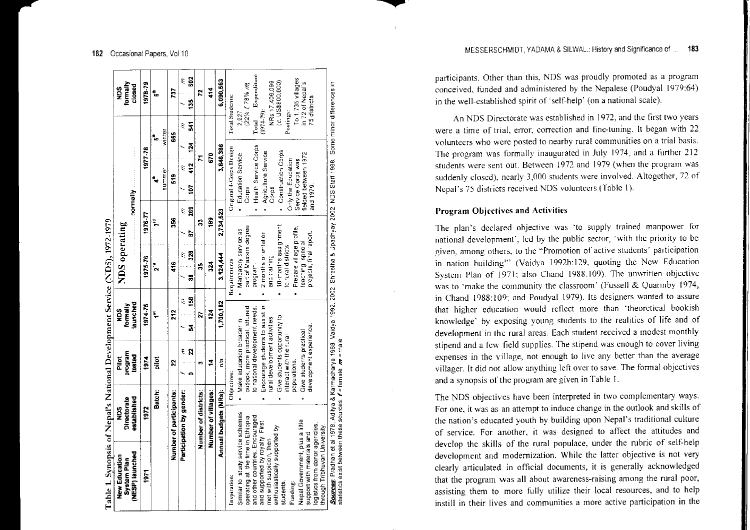| New Education                                                         | ăgN                                |              | Pilot                                                            | San                  | Table 1. Synopsis of Nepal's National Development Service (NDS), 1972-1979<br>NDS operating                                                    |                                         |                                   | Sak                |
|-----------------------------------------------------------------------|------------------------------------|--------------|------------------------------------------------------------------|----------------------|------------------------------------------------------------------------------------------------------------------------------------------------|-----------------------------------------|-----------------------------------|--------------------|
| NESP) launched<br>System Plan                                         | Directorate<br><b>Partial ched</b> |              | <b>Falcodd</b><br>tested                                         | launched<br>formally |                                                                                                                                                | $\sim$ normally $\sim$                  |                                   | formally<br>closed |
| 1971                                                                  | 1972                               |              | 1974                                                             | 1974.75              | 1976-77<br>1975-76                                                                                                                             | 977 78                                  |                                   | 1978-79            |
|                                                                       |                                    | Batch:       | pilot                                                            | Ļ                    | ۲.<br>٦,                                                                                                                                       | summer<br>£,                            | winter<br>ءِ ۽                    | ءِ≠                |
|                                                                       | Number of participants:            |              | 2                                                                | 212                  | ž<br>Į                                                                                                                                         | ទី<br>ភ                                 | 665                               | ្អ                 |
|                                                                       | Participation by gender:           |              | $\overline{2}$<br>έ                                              | 3<br>ĉ<br>J,         | S.<br>328<br>έ<br>g                                                                                                                            | 412 124<br>Е<br>ē<br>$-269$<br>Е        | $\frac{3}{2}$<br>541<br>É         | ទួ<br>Е            |
|                                                                       | Number of districts:               |              |                                                                  | 21                   | ្ល<br>S                                                                                                                                        | $\overline{1}$                          |                                   | Ľ,                 |
|                                                                       | Number of villages:                |              | 14                                                               | 124                  | 28<br>ដូ                                                                                                                                       | 670                                     |                                   | 414                |
|                                                                       | Annual budgets (NRs):              |              | n'a                                                              | 1,700,182            | 2,734,523<br>3,124,444                                                                                                                         | 3,846.386                               |                                   | 6,090,563          |
| Inspiration:                                                          |                                    | Objectives:  |                                                                  |                      | Requirements:                                                                                                                                  | Original 4-Corps Design                 | Total Students:                   |                    |
| Similar to study service schemes<br>operating at the time in Ethiopia |                                    |              | outlook, more practical, attuned<br>Make education broader in    |                      | part of Masters degree<br>Mandatory service as                                                                                                 | <b>Education Service</b><br>Corps       | $(22\% f 78\% m)$<br>2,927        |                    |
| and other countries. Encouraged                                       |                                    |              | to national development needs.                                   |                      | program.                                                                                                                                       | Health Service Corps                    | Expenditure<br>Total              |                    |
| and supported by royalty. First<br>met with suspicion, then           |                                    |              | Encourage students to assist in<br>rural development activities. |                      | 2 months orientation<br>and training.                                                                                                          | Agriculture Service                     | NRs 17,406,099<br>$(1974 - 79)$ : |                    |
| enthusiastically supported by<br>students                             |                                    |              | Give students opportunity to                                     |                      | 10-months assignment                                                                                                                           | Construction Corps<br>Corp <sub>s</sub> | (c, USS800,000)                   |                    |
| Funding:                                                              |                                    |              | nteract with the rural                                           |                      | to rural districts                                                                                                                             | Only the Education                      | Postings:                         |                    |
| Nepal Government, plus a little                                       |                                    | populations. |                                                                  |                      | Prepare village profile,                                                                                                                       | Service Corps was                       | To 1,735 villages                 |                    |
| logistics from donor agencies.<br>support with materials and          |                                    |              | development experience<br>Give students practical                |                      | projects, final report.<br>teaching, special                                                                                                   | fielded between 1972<br>and 1979.       | in 72 of Nepal's<br>75 districts  |                    |
| through Tribhuvan University.                                         |                                    |              |                                                                  |                      |                                                                                                                                                |                                         |                                   |                    |
| statistics exist between these sources $f$ = female $m$ = male        |                                    |              |                                                                  |                      | Sources: Pradhan et al 1978, Aditya & Karmacharya 1988, Vaidya 1992, 2002, Shrestha & Upadhyay 2002, NDS Staff 1988. Some minor differences in |                                         |                                   |                    |

participants. Other than this, NDS was proudly promoted as <sup>a</sup> program conceived, funded and administered by the Nepalese (Poudyal 1979:64) in the well-established spirit of 'self-help' (on <sup>a</sup> natiunal scale).

An NDS Directorate was established in 1972, and the first two years **were a time of trial, error, correction and fine-tuning. It began with 22 volunteers who were posted to nearby rural communities on <sup>a</sup> trial basis.** The program was formally inaugurated in July 1974. and <sup>a</sup> further 212 **students were sent Qut. Between 1972 and 1979 (when the program was** suddenly closed), nearly 3,000 students were involved. Altogether, 72 of Nepal's 75 districts received NDS volunteers (Table I).

#### **Program Objectives and Activities**

The plan's declared objective was 'to supply trained manpower for national development', led by the public sector, 'with the priority to be **given, among others, to the "Promotion of active students' participation** m nation huilding'" (Vaidya 1992b: 129, quoting the New Education System Plan of 1971; also Chand 1988:109). The unwritten objective was to 'make the community the classroom' (Fussell & Quarmby 1974, in Chand 1988:109; and Poudyal 1979). Its designers wanted to assure that higher education would reflect more than 'theoretical bookish knowledge' by exposing young students to the realities of life and of development in the rural areas. Each student received <sup>a</sup> modest monthly stipend and <sup>a</sup> few field supplies. The stipend was enough to cover living **expenses in the village, not enough to live any better than the average** villager. It did not allow anything left over to save. The fonmal objectives **and <sup>a</sup> synopsis** ofthe **program are given in Table I.**

The NDS objectives have been interpreted in two complementary ways. **For one, it was as an attempt to induce change in the outlook and skills of** the nation's educated youth by building upon Nepal's traditional culture of service. For another, it was designed to affect the attitudes and develop the skills of the rural populace, under the rubric of self-help development and modernization. While the latter objective is not very clearly articulated in official documents, it is generally acknowledged that the program was all about awareness-raising among the rural poor, assisting them to more fully utilize their local resources, and to help **instill in their lives and communities <sup>a</sup> more active participation in the**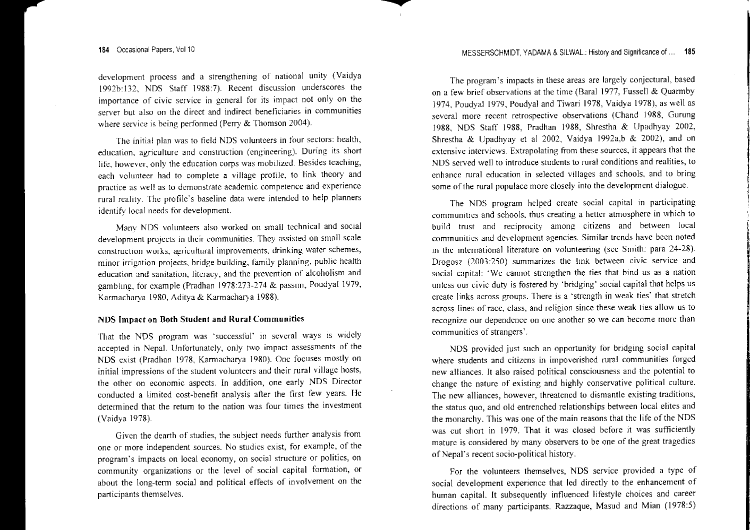development process and <sup>a</sup> strengthening of national unity (Vaidya 1992b: 132, NOS Staff ]988:7). Recent discussion underscores the importance of civic service in general for its impact not only on the server but also on the direct and indirect beneficiaries in communities where service is being performed (Perry & Thomson 2004).

The initial plan was to field NDS volunteers in four sectors: health, education, agriculture and construction (engineering). During its short life, however, only the education corps was mobilized. Besides teaching, each volunteer had to complete <sup>a</sup> village profile, to link theory and practice as well as to demonstrate academic competence and experience rural reality. The profile's baseline data were intended to help planners identify local needs for development.

Many NDS volunteers also worked on small technical and social development projects in their communities. They assisted on small scale construction works, agricultural improvements, drinking water schemes, minor irrigation projects, bridge building, family planning, public health education and sanitation, literacy, and the prevention of alcoholism and gambling, for example (Pradhan 1978:273-274 & passim, Poudyal 1979, Karmacharya 1980, Aditya & Karmacharya 1988).

#### NOS Impact on Both Student and Rural Communities

That the NOS program was 'successful' in several ways is widely accepted in Nepal. Unfortunately, only two impact assessments of the NOS exist (Pradhan 1978, Karmacharya ]980). One focuses mostly on initial impressions of the student volunteers and their rural village hosts, the other on economic aspects. In addition, one early NOS Director conducted <sup>a</sup> limited cost-benefit analysis after the first few years. He determined that the return to the nation was four times the investment (Vaidya ]978).

Given the dearth of studies, the subject needs further analysis fiom one or more independent sources. No studies exist, for example, of the program's impacts on local economy, on social structure or politics, on community organizations or the level of social capital formation, or about the long-term social and political effects of involvement on the participants themselves.

The program's impacts in these areas are largely conjectural, based on <sup>a</sup> few brief observations at the time (Baral 1977, Fussell & Quarmby 1974, Poudyal ]979, Poudyal and Tiwari 1978, Vaidya 1978), as well as several more recent retrospective observations (Chand 1988, Gurung 1988, NOS Staff 1988, Pradhan 1988, Shrestha & Upadhyay 2002, Shrestha & Upadhyay et al 2002, Vaidya 1992a,b & 2002), and on extensive interviews. Extrapolating from these sources, it appears that the NOS served well to introduce students to rural conditions and realities, to enhance rural education in selected villages and schools, and to bring some of the rural populace more closely into the development dialogue.

The NOS program helped create social capital in participating communities and schools, thus creating <sup>a</sup> better atmosphere in which to build trust and reciprocity among citizens and between local communities and development agencies. Similar trends have been noted in the international literature on volunteering (see Smith: para 24-28). Orogosz (2003:250) summarizes the link between civic service and social capital: 'We cannot strengthen the ties that bind us as <sup>a</sup> nation unless our civic duty is fostered by 'bridging' social capital that helps us create links across groups. There is <sup>a</sup> 'strength in weak ties' that stretch across lines of race, class, and religion since these weak ties allow us to recognize our dependence on one another so we can become more than communities of strangers'.

NOS provided just such an opportunity for bridging social capital where students and citizens in impoverished rural communities forged new alliances. It also raised political consciousness and the potential to change the nature of existing and highly conservative political culture. The new alliances, however, threatened to dismantle existing traditions, the status quo, and old entrenched relationships between local elites and the monarchy. This was one of the main reasons that the life of the NDS was cut short in 1979. That it was closed before it was sufficiently mature is considered by many observers to be one of the grea<sup>t</sup> tragedies of Nepal's recent socio-political history.

For the volunteers themselves, NDS service provided <sup>a</sup> type of social development experience that led directly to the enhancement of human capital. It subsequently influenced lifestyle choices and career directions of many participants. Razzaque, Masud and Mian (1978:5)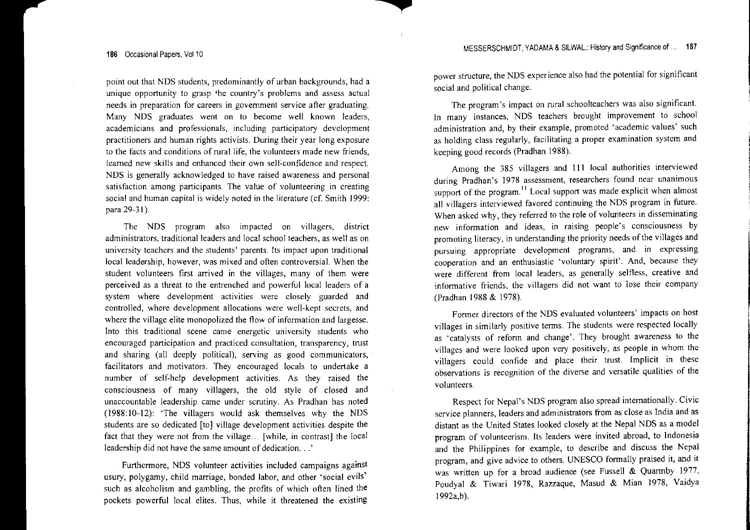point out that NDS students, predominantly of urban backgrounds, had a **unique opportunity to grasp the country's problems and assess actual needs in preparation for careerS in government service after graduating.** Many NDS graduates went on to become well known leaders, **academicians and professionals, including participatory development practitioners and human rights activists. During their year long exposure to the facts and conditions of**rural life, **the volunteers made new friends, learned new skills and enhanced their own self-confidence and respect. NDS is generally acknowledged to have raised awareness and persona<sup>l</sup> satisfaction among participants. The value of volunteering in creating** social and human capital is widely noted in the literature (cf. Smith 1999: para 29-31).

The NDS program also impacted on villagers, district **administrators,** traditional leaders **and local school teachers, as well as on university teachers and the students' parents. Its impact upon traditional** local leadership, however, was mixed and often controversial. When the student volunteers first arrived in the villages, many of them were perceived as <sup>a</sup> threat to the entrenched and powerful local leaders of <sup>a</sup> **system where development activities were closely guarded and** controlled, where development allocations were well-kept secrets, and where the village elite monopolized the flow of information and largesse. **Into this traditional scene came energetic university students who encouraged participation and practiced consultation, transparency, trust** and sharing (all deeply political), serving as good communicators, facilitators and motivators. They encouraged locals to undertake <sup>a</sup> number of self-help development activities. As they raised the consciousness of many villagers, the old style of closed and unaccountable leadership came under scrutiny. As Pradhan has noted (1988:10-12): 'The villagers would ask themselves why the NDS students are so dedicated [toJ village development activities despite the fact that they were not from the village... [while, in contrast] the local leadership did not have the same amount of dedication.. .'

Furthermore, NDS volunteer activities included campaigns against usury, polygamy, child marriage, bonded labor, and other 'social evils' such as alcoholism and gambling, the profits of which often lined the pockets powerful local elites. Thus, while it threatened the existing power structure, the NDS experience also had the potential for significant social and political change.

The program's impact on rural schoolteachers was also significant. In many instances, NDS teachers brought improvement to school **administration and, by their example, promoted 'academic values' such** as holding class regularly, facilitating <sup>a</sup> proper examination system and keeping good records (Pradhan 1988).

Among the 385 villagers and III local authorities interviewed **during Pradhan's 1978 assessment, researchers found near unanimous** support of the program.<sup>11</sup> Local support was made explicit when almost all villagers interviewed favored continuing the NDS program in future. When asked why, they referred to the role of volunteers in disseminating **new infonnation and ideas, in raising people's consciousness by** promoting literacy, in understanding the priority needs of the villages and **pursuing appropriate development programs, and in expressing cooperation and an enthusiastic 'voluntary spirit'. And, because they** were different from local leaders, as generally selfless, creative and **informative friends, the villagers did not want to lose their company** (Pradhan 1988 & 1978).

Former directors of the NDS evaluated volunteers' impacts on host villages in similarly positive terms. The students were respected locally as 'catalysts of reform and change'. They brought awareness to the villages and were looked upon very positively, as people in whom the villagers could confide and place their trust. Implicit in these **observations is recognition of the diverse and versatile qualities of the volunteers.**

Respect for Nepal's NDS program also spread internationally. Civic service planners, leaders and administrators from as close as India and as distant as the United States looked closely at the Nepal NDS as <sup>a</sup> model program of volunteerism. Its leaders were invited abroad, to Indonesia and the Philippines for example, to describe and discuss the Nepal program, and give advice to others. UNESCO formally praised it, and it was written up for a broad audience (see Fussell & Quarmby 1977, Poudyal & Tiwari 1978, Razzaque, Masud & Mian 1978, Vaidya I1992a,b).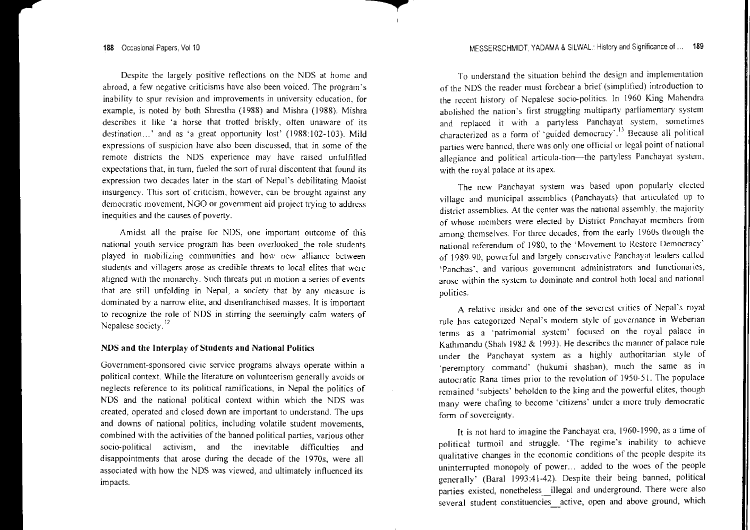Despite the largely positive reflections on the NDS at home and abroad, <sup>a</sup> few negative criticisms have also been voiced. The program's inability to spur revision and improvements in university education, for example, is noted by both Shrestha (1988) and Mishra (1988). Mishra describes it like 'a horse that trotted briskly, often unaware of its destination...' and as 'a great opportunity lost' (1988:102-103). Mild expressions of suspicion have also been discussed, that in some of the remote districts the NDS experience may have raised unfulfi!led expectations that, in turn, fueled the sort of rural discontent that found its expression two decades later in the start of Nepal's debilitating Maoist insurgency. This sort of criticism, however, can be brought against any democratic movement, NGO or governmen<sup>t</sup> aid project trying to address inequities and the causes of poverty.

 $\mathbf{I}$ 

Amidst all the praise for NDS, one important outcome of this national youth service program has been overlooked\_the role students played in mobilizing communities and how new alliance between students and villagers arose as credible threats to local elites that were aligned with the monarchy. Such threats pu<sup>t</sup> in motion <sup>a</sup> series of events that are still unfolding in Nepal, <sup>a</sup> society that by any measure is dominated by <sup>a</sup> narrow elite, and disenfranchised masses. It is important to recognize the role of NDS in stirring the seemingly calm waters of Nepalese society.<sup>12</sup>

## NDS and the Interplay of Students and National Politics

Government-sponsored civic service programs always operate within <sup>a</sup> political context. While the literature on volunteerism generally avoids or neglects reference to its political ramifications, in Nepal the politics of NDS and the national political context within which the NDS was created, operated and closed down are important to understand. The ups and downs of national politics, including volatile student movements, combined with the activities of the banned political parties, various other socio-political activism, and the inevitable difficulties and disappointments that arose during the decade of the 1970s, were all associated with how the NDS was viewed, and ultimately influenced its impacts,

To understand the situation behind the design and implementation of the NDS the reader must forebear <sup>a</sup> brief (simplified) introduction to the recent history of Nepalese socio-politics. In 1960 King Mahendra abolished the nation's first struggling multiparty parliamentary system and replaced it with a partyless Panchayat system, sometimes characterized as a form of "guided democracy". " Because all political parties were banned, there was only one official or legal point of national allegiance and political articula-tion-the partyless Panchayat system, with the royal palace at its apex.

The new Panchayat system was based upon popularly elected village and municipal assemblies (Panchayats) that articulated up to district assemblies. At the center was the national assembly, the majority of whose members were elected by District Panchayat members from among themselves. For three decades, from the early 1960s through the national referendum of 1980, to the 'Movement to Restore Democracy' of 1989-90, powerful and largely conservative Panchayat leaders called 'Panchas', and various governmen<sup>t</sup> administrators and functionaries, arose within the system to dominate and control both local and national politics.

A relative insider and one of the severest critics of Nepal's royal rule has categorized Nepal's modem style of governance in Weberian terms as a "patrimonial system' focused on the royal palace in Kathmandu (Shah 1982 & 1993). He describes the manner of palace rule under the Panchayat system as <sup>a</sup> highly authoritarian style of 'peremptory command' (hukumi shashan), much the same as in autocratic Rana times prior to the revolution of 1950-51. The populace remained 'subjects' beholden to the king and the powerful elites, though many were chafing to become 'citizens' under <sup>a</sup> more truly democratic form of sovereignty.

It is not hard to imagine the Panchayat era, 1960-1990, as <sup>a</sup> time of political turmoil and struggle. 'The regime's inability to achieve qualitative changes in the economic conditions of the people despite its uninterrupted monopoly of power.. added to the woes of the people generally' (Saral 1993:41-42). Despite their being banned, political parties existed, nonetheless\_illegal and underground. There were also several student constituencies\_active, open and above ground, which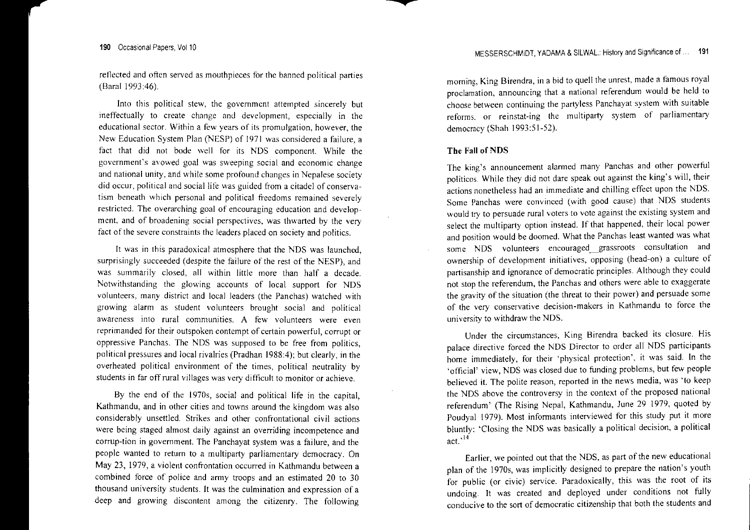reflected and often served as mouthpieces for the banned political parties (BaraI1993:46).

Into this political stew, the govemmen<sup>t</sup> attempted sincerely but ineffectually to create change and development, especially in the educational sector. Within <sup>a</sup> few years of its promulgation, however, the New Education System Plan (NESP) of 1971 was considered <sup>a</sup> failure, <sup>a</sup> tact that did not bode well for its NDS component. While the government's avowed goal was sweeping social and economic change and national unity, and white some profound changes in Nepalese society did occur, political and social life was guided from <sup>a</sup> citadel of conservatism beneath which personal and political freedoms remained severely restricted. The overarching goal of encouraging education and development, and of broadening social perspectives, was thwarted by the very fact of the severe constraints the leaders placed on society and politics.

It was in this paradoxical atmosphere that the NDS was launched, surprisingly succeeded (despite the failure of the rest of the NESP), and was summarily closed, all within little more than half <sup>a</sup> decade. Notwithstanding the glowing accounts of local suppor<sup>t</sup> for NDS volunteers, many district and local leaders (the Panchas) watched with growing alarm as student volunteers brought social and political awareness into rural communities. A few volunteers were even reprimanded for their outspoken contempt of certain powerful, corrup<sup>t</sup> or oppressive Panchas. The NDS was supposed to be free from politics, political pressures and local rivalries (Pradhan 1988:4); but clearly, in the overheated political environment of the times, political neutrality by students in far off rural villages was very difficult to monitor or achieve.

By the end of the 1970s, social and political life in the capital, Kathmandu, and in other cities and towns around the kingdom was also considerably unsettled. Strikes and other confrontational civil actions were being staged almost daily against an overriding incompetence and corrup-tion in govemment. The Panchayat system was <sup>a</sup> failure, and the people wanted to retum to <sup>a</sup> multiparty parliamentary democracy. On May 23, 1979, <sup>a</sup> violent confrontation occurred in Kathmandu between <sup>a</sup> combined force of police and army troops and an estimated 20 to 30 thousand university students. It was the culmination and expression of <sup>a</sup> deep and growing discontent among the citizenry. The following moming, King Birendra, in <sup>a</sup> bid to quell the unrest, made <sup>a</sup> tamous royal proclamation, announcing that <sup>a</sup> national referendum would be held to choose between continuing the partyless Panchayat system with suitable reforms. or reinstat-ing the multiparty system of parliamentary democracy (Shah 1993:51-52).

#### The Fall of NDS

The king's announcement alarmed many Panchas and other powerful politicos. While they did not dare speak out against the king's will, their actions nonetheless had an immediate and chilling effect upon the NDS. Some Panchas were convinced (with good cause) that NDS students would try to persuade rural voters to vote against the existing system and select the multiparty option instead. If that happened, their local power and position would be doomed. What the Panchas least wanted was what some NOS volunteers encouraged grassroots consultation and ownership of development initiatives, opposing (head-on) <sup>a</sup> culture of partisanship and ignorance of democratic principles. Although they could not stop the referendum, the Panehas and others were able to exaggerate the gravity of the situation (the threat to their power) and persuade some of the very conservative decision-makers in Kathmandu to force the university to withdraw the NDS.

Under the circumstances, King Birendra backed its closure. His palace directive forced the NDS Director to order all NDS participants home immediately, for their 'physical protection', it was said. In the 'official' view, NDS was closed due to funding problems, but few people believed it. The polite reason, reported in the news media, was 'to keep the NDS above the controversy in the context of the proposed national referendum' (The Rising Nepal, Kathmandu, June 29 1979, quoted by Poudyal 1979). Most informants interviewed for this study pu<sup>t</sup> it more bluntly: 'Closing the NDS was basically <sup>a</sup> political decision, <sup>a</sup> political act.  $^{14}$ 

Earlier, we pointed out that the NDS, as part of the new educational plan of the 1970s, was implicitly designed to prepare the nation's youth for public (or civic) service. Paradoxically, this was the root of its undoing. It was created and deployed under conditions not fully conducive to the sort of democratic citizenship that both the students and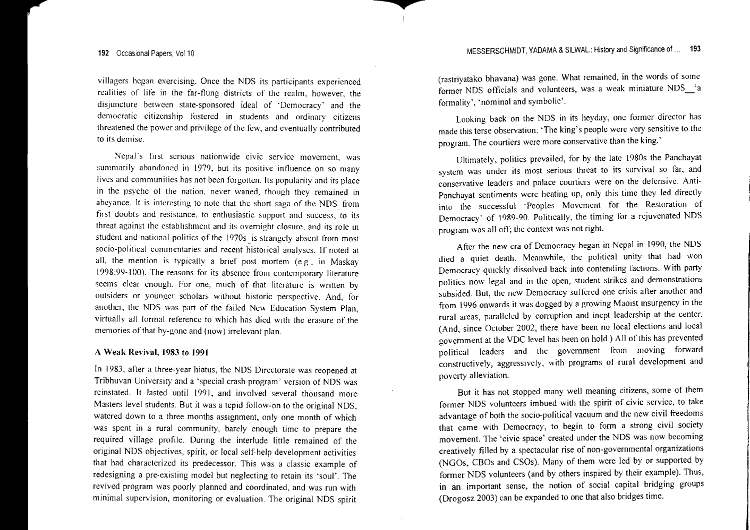villagers began exercising. Once the NOS its participants experienced realities of life in the far-flung districts of the realm, however, the disjuncture between state-sponsored ideal of 'Democracy' and the democratic citizenship fostered in students and ordinary citizens threatened the power and privilege of the few, and eventually contributed to its dern ise.

Nepal's first serious nationwide civic service movement, was summarily abandoned in 1979, but its positive influence on so many lives and communities has not been forgotten. Its popularity and its place in the psyche of the nation, never waned, though they remained in abeyance. It is interesting to note that the short saga of the NDS from first doubts and resistance, to enthusiastic suppor<sup>t</sup> and success, to its threat against the establishment and its overnight closure, and its role in student and national politics of the 1970s is strangely absent from most socio-political commentaries and recent historical analvses. If noted at all, the mention is typically a brief post mortem (e.g., in Maskay 1998:99-100), The reasons for its absence from contemporary literature seems clear enough. For one, much of that literature is written by outsiders or younger scholars without historic perspective. And, for another, the NDS was par<sup>t</sup> of the failed New Education System Plan, virtually all formal reference to which has died with the erasure of the memories of that by-gone and (now) irrelevant plan.

## A Weak Revival, 1983 to 1991

In 1983, after <sup>a</sup> three-year hiatus, the NDS Directorate was reopened at Tribhuvan University and a 'special crash program' version of NDS was reinstated, It lasted until 1991, and involved several thousand more Masters level students. But it was a tepid follow-on to the original NDS watered down to a three months assignment, only one month of which was spent in a rural community, barely enough time to prepare the required village profile, During the interlude little remained of the original NDS objectives, spirit, or local self-help development activities that had characterized its predecessor. This was <sup>a</sup> classic example of redesigning a pre-existing model but neglecting to retain its 'soul'. The revived program was poorly planned and coordinated, and was run with minimal supervision, monitoring or evaluation. The original NDS spirit

(rastriyatako bhavana) was gone, What remained, in the words of some fanner NOS officials and volunteers, was <sup>a</sup> weak miniature NOS\_'a formality', 'nominal and symbolic',

Looking back on the NDS in its heyday, one former director has made this terse observation: 'The king's people were very sensitive to the program. The courtiers were more conservative than the king.'

Ultimately, politics prevailed, for by the late 1980s the Panchayat system was under its most serious threat to its survival so far, and conservative leaders and palace courtiers were on the defensive. Anti· Panchayat sentiments were heating up, only this time they led directly into the successful 'Peoples Movement for the Restoration of Democracy' of 1989-90, Politically, the timing for <sup>a</sup> rejuvenated NDS program was all off; the context was not right.

After the new era of Democracy began in Nepal in 1990, the NDS died <sup>a</sup> quiet death, Meanwhile, the political unity that had won Democracy quickly dissolved back into contending factions, With party politics now legal and in the open, student strikes and demonstrations subsided. But, the new Democracy suffered one crisis after another and from 1996 onwards it was dogged by <sup>a</sup> growing Maoist insurgency in the rural areas, paralleled by corruption and inept leadership at the center, (And, since October 2002, there have been no local elections and local government at the VDC level has been on hold.) All of this has prevented political leaders and the governmen<sup>t</sup> from moving forward constructively, aggressively, with programs of rural development and poverty alleviation,

But it has not stopped many well meaning citizens, some of them former NDS volunteers imbued with the spirit of civic service, to take advantage of both the socio-political vacuum and the new civil freedoms that came with Democracy, to begin to form <sup>a</sup> strong civil society movement. The 'civic space' created under the NDS was now becoming creatively filled by <sup>a</sup> spectacular rise of non-governmental organizations (NGOs, CBOs and CSOs), Many of them were led by or supported by former NDS volunteers (and by others inspired by their example), Thus, in an important sense, the notion of social capital bridging groups (Drogosz 2003) can be expanded to one that also bridges time,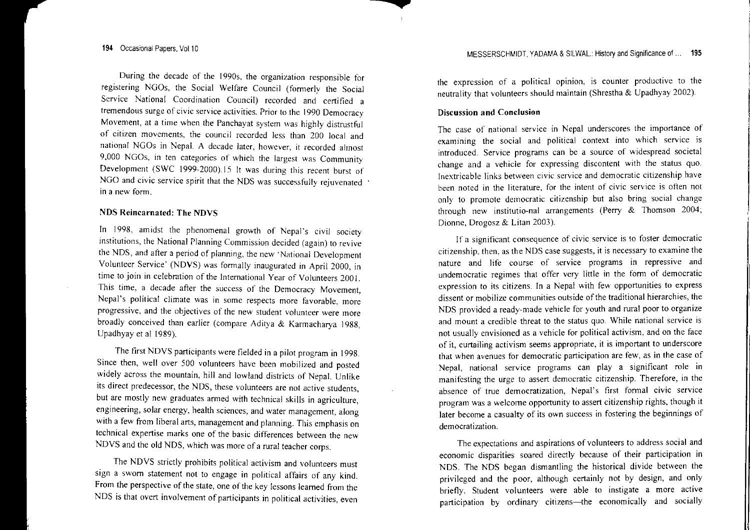During the decade of the 19905, the organization responsible for registering NGOs, the Social Welfare Council (formerly the Social Service National Coordination Council) recorded and certified <sup>a</sup> tremendous surge of civic service activities. Prior to the 1990 Democracy Movement, at a time when the Panchavat system was highly distrustful of citizen movements, the council recorded less than 200 local and national NGOs in Nepal. A decade later, however, it recorded almost 9,000 NGOs, in ten categories of which the largest was Community Development (SWC 1999-2000).15 It was during this recent burst of NGO and civic service spirit that the NDS was successfully rejuvenated in a now form. a new

## NDS Reincarnated: The NDVS

In 1998, amidst the phenomenal growth of Nepal's civil society institutions, the National Planning Commission decided (again) to revive the NDS, and after <sup>a</sup> period of planning, the new 'National Development Volunteer Service' (NDVS) was fonnally inaugurated in April 2000, in time to join in celebration of the International Year of Volunteers 2001. This time, a decade after the success of the Democracy Movement, Nepal's political climate was in some respects more favorable, more progressive. and the objectives of the new student volunteer were more broadly conceived than earlier (compare Aditya & Karmacharya 1988, Upadhyay et at 1989).

The first NDVS participants were fielded in <sup>a</sup> pilot program in 1998. Since then, well over 500 volunteers have been mobilized and posted widely across the mountain, hill and lowland districts of Nepal. Unlike its direct predecessor, the NDS, these volunteers are not active students, but are mostly new graduates anned with technical skills in agriculture, engineering, solar energy, health sciences, and water management, along with <sup>a</sup> few from liberal arts, managemen<sup>t</sup> and planning. This emphasis on technical expertise marks one of the basic differences between the new NDVS and the old NDS, which was more of <sup>a</sup> rural teacher corps.

The NDVS strictly prohibits political activism and volunteers must sign <sup>a</sup> sworn statement not to engage in political affairs of any kind. Form the perspective of the state, one of the key lessons learned from the NDS is that overt involvement of participants in political activities, even the expression of <sup>a</sup> political opinion, is counter productive to the neutrality that volunteers should maintain (Shrestha & Upadhyay 2002).

#### Discussion **and Conclusion**

The case of national service in Nepal underscores the importance of examining the social and political context into which service is introduced. Service programs can be a source of widespread societal change and <sup>a</sup> vehicle for expressing discontent with the status quo. Inextricable links between civic service and democratic citizenship have been noted in the literature, for the intent of civic service is often not only to promote democratic citizenship but also bring social change through new institutio-nal arrangements (Perry & Thomson 2004; Dionne, Drogosz & Litan 2003).

If a significant consequence of civic service is to foster democratic citizenship, then, as the NOS case suggests, it is necessary to examine the nature and life course of service programs in repressive and undemocratic regimes that offer very little in the fonn of democratic expression to its citizens. In <sup>a</sup> Nepal with few opportunities to express dissent or mobilize communities outside ofthe traditional hierarchies, the NDS provided a ready-made vehicle for youth and rural poor to organize and mount a credible threat to the status quo. While national service is not usually envisioned as <sup>a</sup> vehicle for political activism, and on the face of it, curtailing activism seems appropriate, it is important to underscore that when avenues for democratic participation are few, as in the case of Nepal, national service programs can play a significant role in manifesting the urge to assert democratic citizenship. Therefore, in the absence of true democratization, Nepal's first formal civic service program was a welcome opportunity to assert citizenship rights, though it ater become a casualty of its own success in fostering the beginnings of democratization.

The expectations and aspirations of volunteers to address social and economic disparities soared directly because of their participation in NDS. The NOS began dismantling the historical divide between the privileged and the poor, although certainly not by design, and only briefly. Student volunteers were able to instigate a more active participation by ordinary citizens-the economically and socially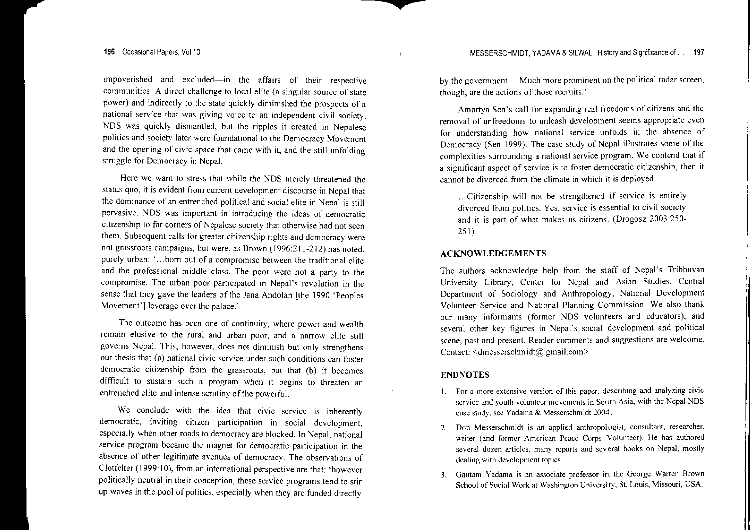**impoverished and excluded-in the affairs of their respective communities. A direct challenge to local elite (a singular source of state** power) and indirectly to the state quickly diminished the prospects of a **national service that was giving voice to an independent civil society.** NDS was quickly dismantled, but the ripples it created in Nepalese **politics and society later were foundational to the Democracy Movement** and the opening of civic space that came with it, and the still unfolding struggle for Democracy in Nepal.

Here we want to stress that while the NDS merely threatened the **status quo, it is evident tram current development discourse in Nepal that** the dominance of an entrenched political and social elite in Nepal is still **pervasive. NOS was important in introducing the ideas of democratic citizenship to far corners** of Nepalese **society that othenvise had not seen them. Subsequent calls for greater citizenship rights and democracy were** not grassroots campaigns, but were, as Brown (1996:211-212) has noted, **purely urban: '... born out of <sup>a</sup> compromise between the traditional elite** and the professional middle class. The poor were not <sup>a</sup> party to the **compromise. The urban poor participated in Nepal's revolution in the** sense that they gave the leaders of the Jana Andolan [the 1990 'Peoples Movement'] leverage over the palace.'

**The outcome has been one of continuity, where power and wealth remain elusive to the rural and urban poor, and <sup>a</sup> narrow elite still** governs Nepal. This, however, does not diminish but only strengthens **our thesis that (a) national civic service under such conditions can foster** democratic citizenship from the grassroots, but that (b) it becomes difficult to sustain such <sup>a</sup> program when it begins to threaten an entrenched elite and intense scrutiny of the powerful.

We conclude with the idea that civic service is inherently **democratic, inviting citizen participation in social development,** especially when other roads to democracy are blocked. In Nepal, national **service program became the magnet for democratic participation in the absence of other legitimate avenues of democracy. The observations of** Clotfelter (1999: 10), from an international perspective are that: 'however politically neutral in their conception, these service programs tend to stir up waves in the pool of politics, especially when they are funded directly

**by the government... Much more prominent on the political radar screen, though, are the actions** ofthose **recruits.'**

**Amartya Sen's call for expanding real freedoms of citizens and the removal** of unfreedoms to unleash development seems appropriate even **for understanding how national service unfolds in the absence of** Democracy (Sen 1999). The case study of Nepal illustrates some of the **complexities surrounding <sup>a</sup> national service program. We contend that if a significant aspect of service is to foster democratic citizenship, then it** cannot be divorced from the climate in which it is deployed.

**.. ,Citizenship will not be strengthened if service is entirely divorced from politics. Yes, service is essential to civil society** and it is par<sup>t</sup> of what makes us citizens. (Drogosz 2003:250- 251 )

## ACKNOWLEDGEMENTS

The authors acknowledge help from the staff of Nepal's Tribhuvan University Library, Center for Nepal and Asian Studies, Central Department of Sociology and Anthropology, National Development **Volunteer Service and National Planning Commission. We also thank** our many informants (former NDS volunteers and educators), and several other key figures in Nepal's social development and political **scene, past and present. Reader comments and suggestions are welcome.** Contact:  $\leq$ dmesserschmidt@ gmail.com>

#### ENDNOTES

- **I. For a more extensive version of this paper. describing and analyzing civic service and youth volunteer movements in South Asia, with the Nepal NOS case study, see Yadama & Messcrschmidt 2004.**
- **2. Don Messerschmidt is an applied anthropologist, consultant, researcher, writer (and former American Peace Corps Volunteer). He has authored several dozen articles, many reports and several books on Nepal, mostly dealing with development topics.**
- **3. Gautam Yadama is an associate professor in the George Warren Brown School** of Social **Work at Washington University, St. Louis, Missouri, USA.**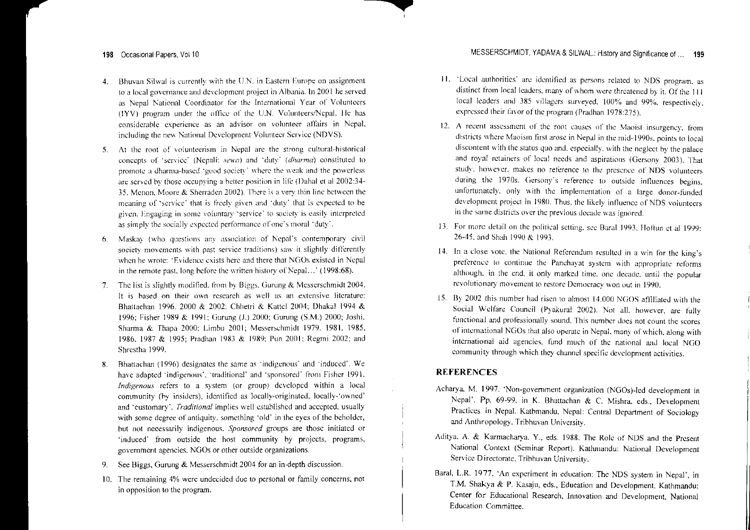- 4. 13huvan Silwal is currently with the U.N. in Eastern Europe on assignment to <sup>a</sup> local governance and development project in Albania. In 2001 he served as Nepal National Coordinator for the International Year of Volunteers (IYV) program under the office of the U.N. Volunteers/Nepal. He has considerable cxrerience as an advisor on volunteer affairs in Nepal. including the new National Development Volunteer Service (NDVS).
- 5. At the root of voluntccrism in Nepal arc the strong cultural-historical concepts of 'service' (Nepali: sewa) and 'duty' (dharma) constituted to promote <sup>a</sup> dharma-hascd 'good society' where the weak and the powerless are served by those occupying <sup>a</sup> better position in lite (Dahal et a1 2002:34- 35, Menan, Maore & Sherraden 2002). There is <sup>a</sup> very thin line between the meaning of 'service' that is freely given and 'duty' that is expected to be given. Engaging in some voluntary 'servicc' to society is easily interpreted as simply the socially expected performance of one's moral 'duty',
- 6.Maskay (who questions any association of Nepal's contemporary civil society movemcnts with pas<sup>t</sup> service traditions) saw it slightly differently when he wrote: "Evidence exists here and there that NGOs existed in Nepal in the remote past, long before the written history of Nepal...' (1998:68).
- 7.The list is slightly modified, from by Biggs, Gurung & Messerschmidt 2004. It is based on their own research as well as an extensive literature: Bhattachan 1996, 2000 & 2002; ehhetri & Kattcl 2004: Dhakal 1994 & 1996: fisher 19R9 & 1991: (;urung (1,) 2000: Gurung (S,M,) 2000: *lashi.* Sharma & Thapa 2000: Limbu 2001: Messerschmidt 1979, 1981, 1985, 1986, 1987 & 1995; Pradhan 1983 & 1989; Pun 2001; Regmi 2002; and Shrcstha 1999,
- 8.Bhattachan (1996) designates the same as "indigenous" and "induced",  $We$ have adapted "indigenous'. 'traditional' and 'sponsored' from Fisher 1991. *Indigenous* refers to <sup>a</sup> system (or group) developed within <sup>a</sup> local community (by insiders), identified as locally-originated, locally-'owned' and 'customary', *Traditional* implies well established and accepted, usually with some degree of antiquity, something 'old' in the eyes of the beholder, but not necessarily indigenous, *Sponsored* groups are those initiated or 'induced' from outside the host community by projects, programs, governmen<sup>t</sup> agencies. NGOs or other outside organizations.
- 9.See Biggs, Gurung & Messerschmidt 2004 for an in-depth discussion.
- 10. The remaining 4% were undecided due to personal or family concerns, not in opposition to the program,
- 11. 'Local authorities' art; identified as persons related to NDS program. as distinct from local leaders, many of whom were threatened by it. Of the  $111$ local leaders and 385 villagers surveyed. 100% and 99%, respectively. expressed their favor of the program (Pradhan 1978:275),
- 12. A recent assessment of the root causes of the Maoist insurgency. from districts where Maoism first arose in Nepal in the mid-1990s, points to local discontent with the status quo and, especially. with the neglect by the palace and royal retainers of local needs and aspirations (Gersony 2(03), That study, however, makes no reference to the presence of NDS volunteers during the 1970s. Gersony's reference to outside influences begins, unfortunately. only wilh the implementation of <sup>a</sup> large donor-funded development project in 1980. Thus, the likely influence of NOS volunteers in the same districts over the previous decade was ignored.
- 13. For more detail on the political setting, see Baral 1993. Holtun et al 1999: 26-45, and Shah 199() & 1993,
- 14. In a close vote, the National Referendum resulted in a win for the king's preference to continue the Panchayat system \"ith appropriate reforms although. in the end, it only marked time, one decade, until the popular revolutionary movement to restore Democracy won out in 1990.
- 15. By 2002 this number had risen to almost  $14,000$  NGOS affiliated with the Social \Velfare Council (Pyakural 2002), Not all. however, are fully functional and professionally sound. This number does not count the scores ofintemational NGOs Ihat also operate in NepaL many of which, along with international aid agencies. fund much of the national and local NGO community through which they channel specific development activities,

## REfERENCES

- Acharya, M. 1997. 'Non-government organization (NGOs)-led development in Nepal'. Pp, 69·99, in K. Bhattachan & C. Mishra. eds.. Development Practices in Nepal. Kathmandu, Nepal: Central Department of Sociology and Anthropology. Tribhuvan University.
- Aditya. A. & Karmaeharya. Y., eds. 1988. The Role of NOS and the Present National Context (Seminar Report). Kathmandu: National Development Service Directorate. Tribhuvan University.
- Baral, L.R. 1977. 'An experiment in education: The NDS system in Nepal', in T,M. Shakya & P. Kasaju, eds., Education and Development. Kathmandu: Center for Educational Research, Innovation and Development, National Education Committee,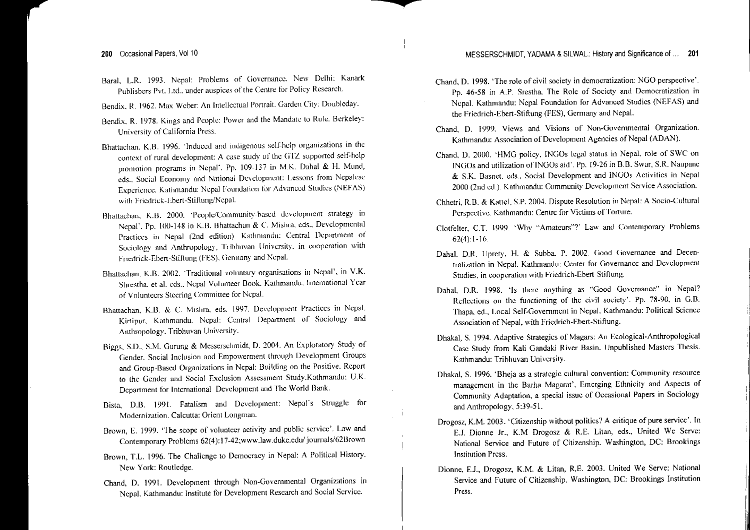- Saral. L.R. 1993. Nepal: Problems of Governance. Ne\.... Delhi: Kanark Publishers Pyt. Ltd.. under auspices of the Centre for Policy Research.
- Bendix. R. 1962. Max Weber: An Intellectual Portrait. Garden City: Doubleday.
- 1<sub>3</sub> endix. R. 1978. Kings and People: Power and the Mandate to Rule. Berkeley: University of California Press.
- Bhattachan. K.B. 1996. 'Induced and indigenous sclf·hdp organizations in the context of rural development: A case study of the GTZ supported self-help. promotion programs in Nepal'. Pp. 109-137 in M.K. Dahal & H. Mund. cds.. Social Economy and National Development: Lessons from Nepalese Experience. Kathmandu: Nepal Foundation for Advanced Studies (NEFAS) with Friedrick-Ebert-Stiftung/Nepal.
- Bhattachan. K.B. 2000. 'People/Community-based development strategy in Nepal'. Pp. 100-148 in K.B. Bhattachan & C. Mishra. eds., Developmental Practices in Nepal (2nd edition). Kathmandu: Central Department of Sociology and Anthropology, Tribhuvan University, in cooperation with Friedrick-Ebert-Stiftung (rES). Germany and Nepal.
- Bhattachan, K.B. 2002. 'Traditional voluntary organisations in Nepal'. in V.K. Shrestha. et al. eds.. Nepal Volunteer Book. Kathmandu: International Year of Volunteers Steering Committee for Nepal.
- Bhattachan, K.S. & C. Mishra. eds. 1997. Development Practices in Nepal. Kirtipur. Kathmandu. Nepal: Central Department of Sociology and Anthropology. Tribhuvan University.
- Biggs, S.D., S.M. Gurung & Messerschmidt, D. 2004. An Exploratory Study of Gender- Social Inclusion and Empowerment through Development Groups and Group-Based Organizations in Nepal: Building on the Positive. Report to the Gender and Social Exclusion Assessment Study.Kathmandu: U.K. Department for International Development and The World Bank.
- Bista., D.B. 1991. Fatalism and Development: Nepal's Struggle for Modernization. Calcutta: Orient Longman.
- Brown, E. 1999. 'The scope of volunteer activity and public service'. Law and Contemporary Problems 62(4):17-42;www.law.duke.edw' journals/62Brown
- Brown, T.L. 1996. The Challenge to Democracy in Nepal: A Political History. New Yark: Routledge.
- Chand, D. 1991. Development through Non-Governmental Organizations in Nepal. Kathmandu: Institute for Development Research and Social Service.
- Chand, D. 1998. The role of civil society in democratization: NGO perspective. Pp. 46-58 in A.P. Srestha., The Role of Society and Democratization in Nepal. Kathmandu: Nepal Foundation for Advanced Studies (NEFAS) and the Friedrich-Ebcrt-Stiftung (FES), Gennany and Nepal.
- Chand, D. 1999. Views and Visions of Non-Governmental Organization. Kathmandu: Association of Development Agencies of Nepal (ADAN).
- Chand, D. 2000. 'HMG policy, INGOs legal status in Nepal, role of SWC on INGOs and utilization ofINGOs aid'. Pp. 19-26 in RB. Swar, S.R. Naupane & S.K. Basnet. eds.. Social Development and INGOs Activities in Nepal 2000 (2nd ed.). Kathmandu: Community Development Service Association.
- Chhetri, R.B. & Kattel, S.P. 2004. Dispute Resolution in Nepal: A Socio-Cultural Perspective. Kathmandu: Centre for Victims of Torture.
- Clotfelter, C.T. 1999. 'Why "Amateurs"?' Law and Contemporary Problems 62(4):1-16.
- DahaL D.R, Uprety, H. & Subba. P. 2002. Good Governance and Decentralization in Nepal. Kathmandu: Center for Governance and Development Studies, in cooperation with Friedrich-Ebert-Stiftung.
- Dahal, D.R. 1998. 'Is there anything as "Good Governance" in Nepal? Reflections on the functioning of the civil society'. Pp. 78-90, in G.R Thapa, ed., Local Self-Government in Nepal. Kathmandu: Political Science Association of Nepal, with Friedrich-Ebert·Stiftung.
- Dhakal, S. 1994. Adaptive Strategies of Magars: An Ecological-Anthropological Case Study from Kali Gandaki River Basin. Unpublished Masters Thesis. Kathmandu: Tribhuvan University.
- Dhakal, S. 1996. 'Bheja as <sup>a</sup> strategic cultural convention: Community resource managemen<sup>t</sup> in the Barha Magarat', Emerging Ethnicity and Aspects of Community Adaptation, <sup>a</sup> special issue of Occasional Papers in Sociology and Anthropology, 5:39-51.
- Drogosz, K.M. 2003. 'Citizenship without politics? A critique of pure service'. In E.1. Dionne Jr., K.M Drogosz & R.E. Litan, eds., United We Serve: National Service and Future of Citizenship. Washington, DC: Brookings Institution Press.
- Dionne, E.J., Drogosz, K.M. & Litan, R.E. 2003. United We Serve: National Service and Future of Citizenship. Washington, DC: Brookings Institution Press.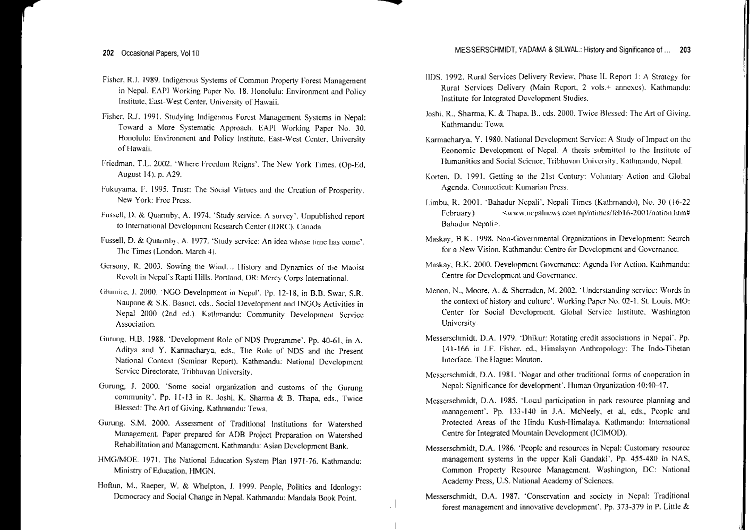- Fisher, RJ. 1989. Indigenous Systems of Common Property Forest Management in Nepal. EAPI Working Paper No. 18. Honolulu: Environment and Policy Institute, East-\\/est Center. University of Hawaii.
- Fisher. R.J. 1991. Studying Indigenous Forest Management Systems in Nepal: Toward a More Systematic Approach. EAPI Working Paper No. 30. Honolulu: Environment and Policy Institute. East·West Center, University of Hawaii.
- I:riedman. T.L. 2002. 'Where Frcedom Reigns'. The New York Times. (Op-Fd, August 14), p. A29.
- Fukuyama. F. 1995. Trust: The Social Virtues and the Creation of Prosperity. New York: Free Press.
- Fussell. D. & Quarmby, A. 1974. 'Study service: A survey'. lJnpublished repor<sup>t</sup> to International Development Research Center (IDRC), Canada
- FusselL D. & Quarmby. A. 1977. 'Study service: An idea \vhose time has come'. The Times (London, March 4).
- Gersony, R. 2003. Sowing the Wind... History and Dynamics of the Maoist Revolt in Nepal's Rapti Hills. Portland. OR: Mercy Corps International.
- Ghimire, J. 2000. 'NGO Development in Nepal'. Pp. 12-18, in B.B. Swar, S.R. Naupane & S.K. Basnet. eds.. Social Development and INGOs Activities in Nepal 2000 (2nd cd.). Kathmandu: Community Development Service Association.
- Gurung, HB. 1988. 'Development Role of NDS Programme'. Pp. 40-61, in A. Aditya and Y. Karmacharya, eds., The Role of NOS and the Present National Context (Seminar Report). Kathmandu: National Development Service Directorate, Tribhuvan University.
- Gurung, 1. 2000. 'Some social organization and customs of the Gurung community'. Pp. 11-13 in R. Joshi, K. Sharma & B. Thapa, eds., Twice Blessed: The Art of Giving. Kathmandu: Tewa.
- Gurung, S.M. 2000. Assessment of Traditional Institutions for Watershed Management. Paper prepared for ADB Project Preparation on Watershed Rehabilitation and Management. Kathmandu: Asian Development Bank.
- HMG/MOE. 1971. The National Education System Plan 1971-76. Kathmandu: Ministry of Education, HMGN.
- Hoftun, M., Raeper, W. & Whelpton, 1. 1999. People, Politics and Ideology: Democracy and Social Change in Nepal. Kathrnandu: Mandala Book Point.
- liDS. 1992. Rural Services Delivery Review. Phase 11. Report 1: A Strategy lor Rural Services Delivery (Main Report. 2 VO[5.+ annexes). Kathmandu: Institute for Integrated Development Studies.
- Joshi, R., Sharma, K. & Thapa, B., eds. 2000. Twice Blessed: The Art of Giving. Kathmandu: Tewa.
- Karmacharya, Y. 1980. National Development Service: A Study of Impact on the Economic Development of Nepal. A thesis submitted to the Institute of Humanities and Social Science, Tribhuvan University, Kathmandu, Nepal.
- Korten, D. 1991. Getting to the 21st Century: Voluntary Action and Global Agenda. Connecticut: Kumarian Press.
- Limbu, R. 2001. 'Bahadur Nepali', Nepali Times (Kathmandu), No. 30 (16-22 February)  $\langle www, \text{nepalnews.com} \cdot np/n \times (6-2001/nation.html)$ Bahadur Nepali>.
- Maskay. B.K. 1998. Non-Governmental Organizations in Development: Search for a New' Vision. Kathmandu: Centre for Development and Governance.
- Maskay, B.K. 2000. Development Governanec: Agenda For Action. Kathmandu: Centre for Development and Governance.
- Menon. N., Moore, A. & Shcrraden, M. 2002. 'Understanding service: Words in the context of history and culture'. Working Paper No. 02-1. St. Louis, MO: Center for Social Development. Global Service Institute, Washington University.
- Messerschmidt. D.A. 1979. 'Dhikur: Rotating credit associations in Nepal'. Pp. 141-166 in J.F. Fisher. ed.. Himalayan Anthropology: The Indo-Tibetar Interface. The Hague: Mouton.
- Messerschmidt. D.A. 1981. 'Nogar and other traditional forms of cooperation in Nepal: Significance for development'. Human Organization 40:40-47.
- Messerschmidt, D.A. 1985. 'Local participation in park resource planning and management'. Pp. 133-140 in J.A. MeNeely, et al, eds., People and Protected Areas of the Hindu Kush-Himalaya. Kathmandu: International Centre for Integrated Mountain Development (fCIMOD).
- Messerschmidt, D.A. 1986. 'People and resources in Nepal: Customary resource managemen<sup>t</sup> systems in the upper Kali Gandaki'. Pp. 455-480 in NAS, Common Property Resource Management. Washington, DC: National Academy Press, U.S. National Academy of Sciences.
- Messerschmidt, D.A. 1987. 'Conservation and society in Nepal: Traditional forest managemen<sup>t</sup> and innovative development'. Pp. 373-379 in P. Little &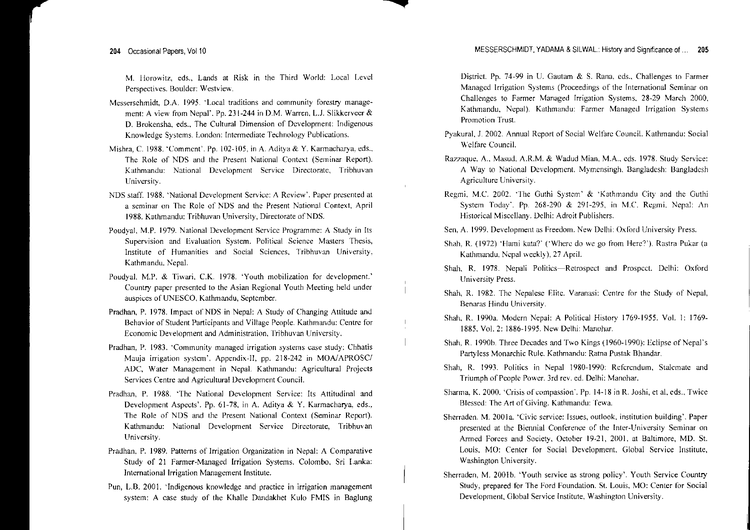M. llorowitz, eds., Lands at Risk in the Third World: Local Level Perspectives. Boulder: Westview.

- Messerschmidt, D.A. 1995. 'Local traditions and community forestry management: A view from Nepal'. Pp. 231-244 in D.M. Warren, L.J. Slikkerveer& D. Brokensha, eds., The Cultural Dimension of Development: Indigenous Knowledge Systems. London: Intermediate Technology Publications.
- Mishra, C. 1988. 'Comment'. Pp. 102-105, in A. Aditya & Y. Kannacharya. eds., The Role of NOS and the Present National Context (Seminar Report). Kathmandu: National Development Service Directorate, Tribhuvan University.
- NOS 1988. 'National Development Service: A Review', Paper presented at a seminar on The Role of NOS and the Present National Context, April 1988. Kathmandu: Tribhuvan University, Directorate of NDS.
- Poudyat, M.P. 1979. National Development Service Programme: A Study in Its Supervision and Evaluation System. Political Science Masters Thesis, Institute of Humanities and Social Sciences, Tribhuvan University. Kathmandu, Nepal.
- Poudyal, M.P. & Tiwari. C.K. 1978. 'Youth mobilization for development.' Country paper presented to the Asian Regional Youth Meeting held under auspices of UNESCO, Kathmandu, September.
- Pradhan, P. 1978. Impact of NDS in Nepal: A Study of Changing Attitude and Behavior of Student Participants and Village People. Kathmandu: Centre for Economic Development and Administration, Tribhuvan University.
- Pradhan, P. 1983. 'Community managed irrigation systems case study: Chhatis Mauja irrigation system'. Appendix-II, pp. 218-242 in MOA/APROSC/ ADC, Water Management in Nepal. Kathmandu: Agricultural Projects Services Centre and Agricultural Development Council.
- Pradhan, P. 1988. 'The National Development Service: Its Attitudinal and Development Aspects'. Pp. 61-78, in A. Aditya & Y. Karmacharya, eds., The Role of NDS and the Present National Context (Seminar Report). Kathmandu: National Development Service Directorate, Tribhuvan University.
- Pradhan. P. 1989. Patterns of Irrigation Organization in Nepal: A Comparative Study of 21 Farmer-Managed Irrigation Systems. Colombo. Sri Lanka: International Irrigation Management Institute.
- Pun, L.B. 2001. 'Indigenous knowledge and practice in irrigation management system: A case study of the Khalle Dandakhet Kulo FMIS in Baglung

District. Pp. 74-99 in U. Gautam & S. Rana, eds.. Challenges to Farmer Managed Irrigation Systems (Proceedings of the International Seminar on Challenges to Farmer Managed Irrigation Systems. 28-29 March 2000, Kathmandu, Nepal). Kathmandu: Farmer Managed Irrigation Systems Promotion Trust.

- Pyakural. 1. 2002. Annual Report of Social Welfare Council. Kathmandu: Social Welfare Council.
- Razzaque, A., Masud, A.R.M. & Wadud Mian, M.A., eds. 1978. Study Service: A Way to National Development. Mymensingh. Bangladesh: Bangladesh Agriculture University.
- Regmi. M.C. 2002. 'The Guthi System' & 'Kathmandu City and the Guthi System Today'. Pp.  $268-290$  &  $291-295$ , in M.C. Regmi, Nepal: An Historical Miscellany. Delhi: Adroit Publishers.
- Sen, A. 1999. Development as Freedom. New Delhi: Oxford University Press.
- Shah, R. (1972) 'Hami kata?' ('Where do we go from Here?'). Rastra Pukar (a Kathmandu. Nepal weekly), 27 April.
- Shah, R. 1978. Nepali Politics-Retrospect and Prospect. Delhi: Oxford University Press.
- Shah, R. 1982. The Nepalese Elite. Varanasi: Centre for the Study of Nepal, Renaras Hindu University.
- Shah, R. 1990a. Modern Nepal: A Political History 1769-1955. *Va!.* I: 1769- 1885, Vo!. 2: 1886-1995. New Delhi: Manohar.
- Shah, R. I990b. Three Decades and Two Kings (1960-1990): Eclipse of Nepal's Partyless Monarchic Rule. Kathmandu: Ratna Pustak Bhandar.
- Shah, R. 1993. Politics in Nepal 1980-1990: Referendum, Stalemate and Triumph of People Power. 3rd rev. ed. Delhi: Manohar.
- Sharma, K. 2000. 'Crisis of compassion'. Pp. 14-18 in R. Joshi, et al, eds., Twice Blessed: The Art of Giving. Kathmandu: Tewa.
- Sherraden. M. 2001a. 'Civic service: Issues, outlook, institution building'. Paper presented at the Biennial Conference of the Inter-University Seminar on Armed Forces and Society, October 19-21, 2001. at Baltimore, MD. St. Louis, MO: Center for Social Development. Global Service Institute, Washington University.
- Sherraden, M. 2001b. 'Youth service as strong policy'. Youth Service Country Study, prepared for The Ford Foundation. St. Louis, MO: Center for Social Development, Global Service Institute, Washington University.